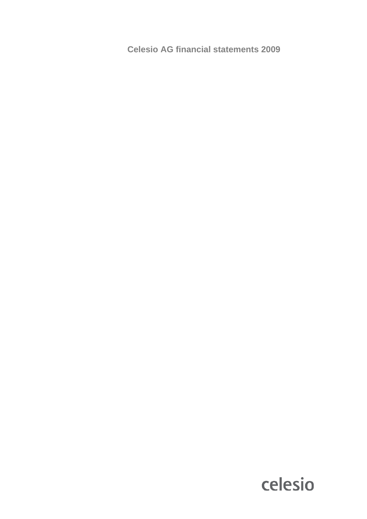**Celesio AG financial statements 2009**

# celesio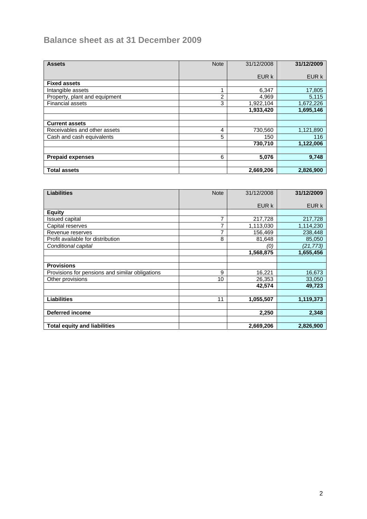# **Balance sheet as at 31 December 2009**

| <b>Assets</b>                 | <b>Note</b>    | 31/12/2008 | 31/12/2009 |
|-------------------------------|----------------|------------|------------|
|                               |                | EUR k      | EUR k      |
|                               |                |            |            |
| <b>Fixed assets</b>           |                |            |            |
| Intangible assets             |                | 6,347      | 17,805     |
| Property, plant and equipment | $\overline{2}$ | 4,969      | 5,115      |
| <b>Financial assets</b>       | 3              | 1,922,104  | 1,672,226  |
|                               |                | 1,933,420  | 1,695,146  |
|                               |                |            |            |
| <b>Current assets</b>         |                |            |            |
| Receivables and other assets  | 4              | 730,560    | 1,121,890  |
| Cash and cash equivalents     | 5              | 150        | 116        |
|                               |                | 730,710    | 1,122,006  |
|                               |                |            |            |
| <b>Prepaid expenses</b>       | 6              | 5,076      | 9,748      |
|                               |                |            |            |
| <b>Total assets</b>           |                | 2,669,206  | 2,826,900  |

| <b>Liabilities</b>                              | <b>Note</b> | 31/12/2008 | 31/12/2009 |
|-------------------------------------------------|-------------|------------|------------|
|                                                 |             |            |            |
|                                                 |             | EUR k      | EUR k      |
| <b>Equity</b>                                   |             |            |            |
| Issued capital                                  | 7           | 217,728    | 217,728    |
| Capital reserves                                | 7           | 1,113,030  | 1,114,230  |
| Revenue reserves                                | 7           | 156,469    | 238,448    |
| Profit available for distribution               | 8           | 81,648     | 85,050     |
| Conditional capital                             |             | (0)        | (21,773)   |
|                                                 |             | 1,568,875  | 1,655,456  |
|                                                 |             |            |            |
| <b>Provisions</b>                               |             |            |            |
| Provisions for pensions and similar obligations | 9           | 16,221     | 16,673     |
| Other provisions                                | 10          | 26,353     | 33,050     |
|                                                 |             | 42,574     | 49,723     |
|                                                 |             |            |            |
| <b>Liabilities</b>                              | 11          | 1,055,507  | 1,119,373  |
|                                                 |             |            |            |
| <b>Deferred income</b>                          |             | 2,250      | 2,348      |
|                                                 |             |            |            |
| <b>Total equity and liabilities</b>             |             | 2,669,206  | 2,826,900  |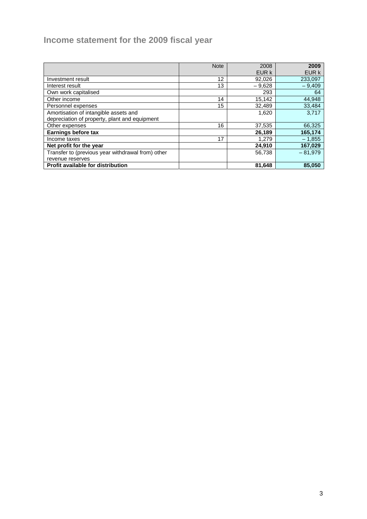# **Income statement for the 2009 fiscal year**

|                                                   | <b>Note</b> | 2008     | 2009      |
|---------------------------------------------------|-------------|----------|-----------|
|                                                   |             | EUR k    | EUR k     |
| Investment result                                 | 12          | 92,026   | 233,097   |
| Interest result                                   | 13          | $-9,628$ | $-9,409$  |
| Own work capitalised                              |             | 293      | 64        |
| Other income                                      | 14          | 15,142   | 44,948    |
| Personnel expenses                                | 15          | 32,489   | 33,484    |
| Amortisation of intangible assets and             |             | 1,620    | 3,717     |
| depreciation of property, plant and equipment     |             |          |           |
| Other expenses                                    | 16          | 37,535   | 66,325    |
| Earnings before tax                               |             | 26,189   | 165,174   |
| Income taxes                                      | 17          | 1.279    | $-1,855$  |
| Net profit for the year                           |             | 24,910   | 167,029   |
| Transfer to (previous year withdrawal from) other |             | 56,738   | $-81.979$ |
| revenue reserves                                  |             |          |           |
| Profit available for distribution                 |             | 81,648   | 85,050    |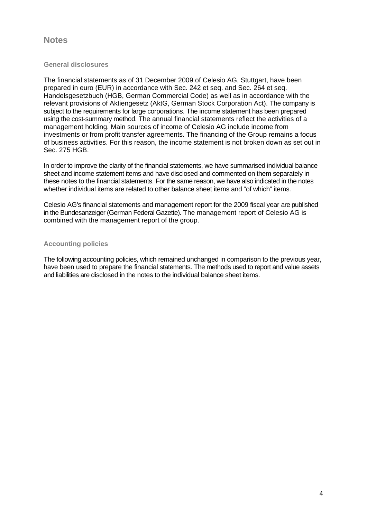### **Notes**

#### **General disclosures**

The financial statements as of 31 December 2009 of Celesio AG, Stuttgart, have been prepared in euro (EUR) in accordance with Sec. 242 et seq. and Sec. 264 et seq. Handelsgesetzbuch (HGB, German Commercial Code) as well as in accordance with the relevant provisions of Aktiengesetz (AktG, German Stock Corporation Act). The company is subject to the requirements for large corporations. The income statement has been prepared using the cost-summary method. The annual financial statements reflect the activities of a management holding. Main sources of income of Celesio AG include income from investments or from profit transfer agreements. The financing of the Group remains a focus of business activities. For this reason, the income statement is not broken down as set out in Sec. 275 HGB.

In order to improve the clarity of the financial statements, we have summarised individual balance sheet and income statement items and have disclosed and commented on them separately in these notes to the financial statements. For the same reason, we have also indicated in the notes whether individual items are related to other balance sheet items and "of which" items.

Celesio AG's financial statements and management report for the 2009 fiscal year are published in the Bundesanzeiger (German Federal Gazette). The management report of Celesio AG is combined with the management report of the group.

#### **Accounting policies**

The following accounting policies, which remained unchanged in comparison to the previous year, have been used to prepare the financial statements. The methods used to report and value assets and liabilities are disclosed in the notes to the individual balance sheet items.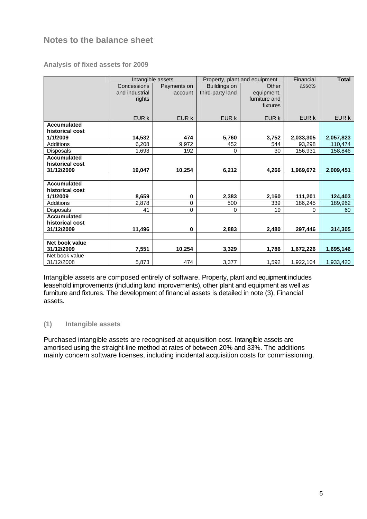# **Notes to the balance sheet**

#### **Analysis of fixed assets for 2009**

|                    |                | Intangible assets |                  | Property, plant and equipment | Financial    | <b>Total</b> |
|--------------------|----------------|-------------------|------------------|-------------------------------|--------------|--------------|
|                    | Concessions    | Payments on       | Buildings on     | Other                         | assets       |              |
|                    | and industrial | account           | third-party land | equipment,                    |              |              |
|                    | rights         |                   |                  | furniture and                 |              |              |
|                    |                |                   |                  | fixtures                      |              |              |
|                    | EUR k          | EUR k             | EUR k            | EUR k                         | <b>EUR k</b> | EUR k        |
| <b>Accumulated</b> |                |                   |                  |                               |              |              |
| historical cost    |                |                   |                  |                               |              |              |
| 1/1/2009           | 14,532         | 474               | 5,760            | 3,752                         | 2,033,305    | 2,057,823    |
| Additions          | 6,208          | 9.972             | 452              | 544                           | 93,298       | 110,474      |
| <b>Disposals</b>   | 1,693          | 192               | 0                | 30                            | 156,931      | 158,846      |
| <b>Accumulated</b> |                |                   |                  |                               |              |              |
| historical cost    |                |                   |                  |                               |              |              |
| 31/12/2009         | 19,047         | 10,254            | 6,212            | 4,266                         | 1,969,672    | 2,009,451    |
|                    |                |                   |                  |                               |              |              |
| <b>Accumulated</b> |                |                   |                  |                               |              |              |
| historical cost    |                |                   |                  |                               |              |              |
| 1/1/2009           | 8,659          | 0                 | 2,383            | 2,160                         | 111,201      | 124,403      |
| <b>Additions</b>   | 2,878          | 0                 | 500              | 339                           | 186,245      | 189,962      |
| <b>Disposals</b>   | 41             | $\overline{0}$    | $\Omega$         | 19                            | 0            | 60           |
| <b>Accumulated</b> |                |                   |                  |                               |              |              |
| historical cost    |                |                   |                  |                               |              |              |
| 31/12/2009         | 11,496         | 0                 | 2,883            | 2,480                         | 297,446      | 314,305      |
|                    |                |                   |                  |                               |              |              |
| Net book value     |                |                   |                  |                               |              |              |
| 31/12/2009         | 7,551          | 10,254            | 3,329            | 1,786                         | 1,672,226    | 1,695,146    |
| Net book value     |                |                   |                  |                               |              |              |
| 31/12/2008         | 5,873          | 474               | 3,377            | 1,592                         | 1,922,104    | 1,933,420    |

Intangible assets are composed entirely of software. Property, plant and equipment includes leasehold improvements (including land improvements), other plant and equipment as well as furniture and fixtures. The development of financial assets is detailed in note (3), Financial assets.

#### **(1) Intangible assets**

Purchased intangible assets are recognised at acquisition cost. Intangible assets are amortised using the straight-line method at rates of between 20% and 33%. The additions mainly concern software licenses, including incidental acquisition costs for commissioning.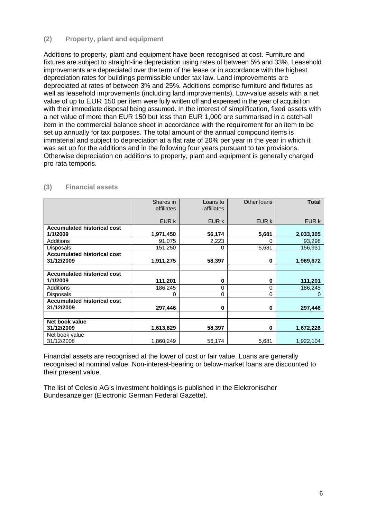#### **(2) Property, plant and equipment**

Additions to property, plant and equipment have been recognised at cost. Furniture and fixtures are subject to straight-line depreciation using rates of between 5% and 33%. Leasehold improvements are depreciated over the term of the lease or in accordance with the highest depreciation rates for buildings permissible under tax law. Land improvements are depreciated at rates of between 3% and 25%. Additions comprise furniture and fixtures as well as leasehold improvements (including land improvements). Low-value assets with a net value of up to EUR 150 per item were fully written off and expensed in the year of acquisition with their immediate disposal being assumed. In the interest of simplification, fixed assets with a net value of more than EUR 150 but less than EUR 1,000 are summarised in a catch-all item in the commercial balance sheet in accordance with the requirement for an item to be set up annually for tax purposes. The total amount of the annual compound items is immaterial and subject to depreciation at a flat rate of 20% per year in the year in which it was set up for the additions and in the following four years pursuant to tax provisions. Otherwise depreciation on additions to property, plant and equipment is generally charged pro rata temporis.

|                                    | Shares in  | Loans to   | Other Ioans | <b>Total</b> |
|------------------------------------|------------|------------|-------------|--------------|
|                                    | affiliates | affiliates |             |              |
|                                    |            |            |             |              |
|                                    | EUR k      | EUR k      | EUR k       | EUR k        |
| <b>Accumulated historical cost</b> |            |            |             |              |
| 1/1/2009                           | 1,971,450  | 56,174     | 5,681       | 2,033,305    |
| Additions                          | 91,075     | 2,223      | 0           | 93,298       |
| <b>Disposals</b>                   | 151,250    | 0          | 5,681       | 156,931      |
| <b>Accumulated historical cost</b> |            |            |             |              |
| 31/12/2009                         | 1,911,275  | 58,397     | 0           | 1,969,672    |
|                                    |            |            |             |              |
| <b>Accumulated historical cost</b> |            |            |             |              |
| 1/1/2009                           | 111,201    | 0          | 0           | 111,201      |
| <b>Additions</b>                   | 186,245    | 0          | 0           | 186,245      |
| <b>Disposals</b>                   | 0          | 0          | 0           | 0            |
| <b>Accumulated historical cost</b> |            |            |             |              |
| 31/12/2009                         | 297,446    | 0          | 0           | 297,446      |
|                                    |            |            |             |              |
| Net book value                     |            |            |             |              |
| 31/12/2009                         | 1,613,829  | 58,397     | $\bf{0}$    | 1,672,226    |
| Net book value                     |            |            |             |              |
| 31/12/2008                         | 1,860,249  | 56,174     | 5,681       | 1,922,104    |

#### **(3) Financial assets**

Financial assets are recognised at the lower of cost or fair value. Loans are generally recognised at nominal value. Non-interest-bearing or below-market loans are discounted to their present value.

The list of Celesio AG's investment holdings is published in the Elektronischer Bundesanzeiger (Electronic German Federal Gazette).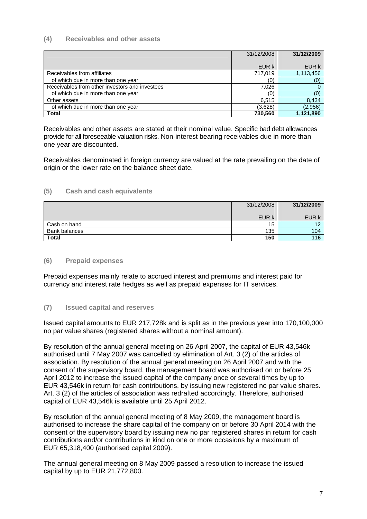#### **(4) Receivables and other assets**

|                                                | 31/12/2008 | 31/12/2009 |
|------------------------------------------------|------------|------------|
|                                                |            |            |
|                                                | EUR k      | EUR k      |
| Receivables from affiliates                    | 717,019    | 1,113,456  |
| of which due in more than one year             | (0)        | (0)        |
| Receivables from other investors and investees | 7,026      |            |
| of which due in more than one year             | (0)        | (0)        |
| Other assets                                   | 6,515      | 8,434      |
| of which due in more than one year             | (3,628)    | (2,956)    |
| Total                                          | 730,560    | 1,121,890  |

Receivables and other assets are stated at their nominal value. Specific bad debt allowances provide for all foreseeable valuation risks. Non-interest bearing receivables due in more than one year are discounted.

Receivables denominated in foreign currency are valued at the rate prevailing on the date of origin or the lower rate on the balance sheet date.

#### **(5) Cash and cash equivalents**

|               | 31/12/2008 | 31/12/2009 |
|---------------|------------|------------|
|               | EUR k      | EUR k      |
|               |            |            |
| Cash on hand  | 15         | 10         |
| Bank balances | 135        | 104        |
| <b>Total</b>  | 150        | 116        |

#### **(6) Prepaid expenses**

Prepaid expenses mainly relate to accrued interest and premiums and interest paid for currency and interest rate hedges as well as prepaid expenses for IT services.

#### **(7) Issued capital and reserves**

Issued capital amounts to EUR 217,728k and is split as in the previous year into 170,100,000 no par value shares (registered shares without a nominal amount).

By resolution of the annual general meeting on 26 April 2007, the capital of EUR 43,546k authorised until 7 May 2007 was cancelled by elimination of Art. 3 (2) of the articles of association. By resolution of the annual general meeting on 26 April 2007 and with the consent of the supervisory board, the management board was authorised on or before 25 April 2012 to increase the issued capital of the company once or several times by up to EUR 43,546k in return for cash contributions, by issuing new registered no par value shares. Art. 3 (2) of the articles of association was redrafted accordingly. Therefore, authorised capital of EUR 43,546k is available until 25 April 2012.

By resolution of the annual general meeting of 8 May 2009, the management board is authorised to increase the share capital of the company on or before 30 April 2014 with the consent of the supervisory board by issuing new no par registered shares in return for cash contributions and/or contributions in kind on one or more occasions by a maximum of EUR 65,318,400 (authorised capital 2009).

The annual general meeting on 8 May 2009 passed a resolution to increase the issued capital by up to EUR 21,772,800.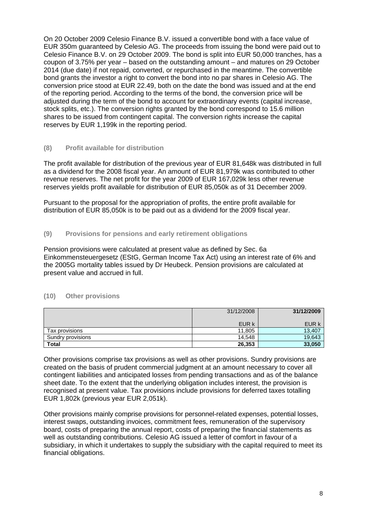On 20 October 2009 Celesio Finance B.V. issued a convertible bond with a face value of EUR 350m guaranteed by Celesio AG. The proceeds from issuing the bond were paid out to Celesio Finance B.V. on 29 October 2009. The bond is split into EUR 50,000 tranches, has a coupon of 3.75% per year – based on the outstanding amount – and matures on 29 October 2014 (due date) if not repaid, converted, or repurchased in the meantime. The convertible bond grants the investor a right to convert the bond into no par shares in Celesio AG. The conversion price stood at EUR 22.49, both on the date the bond was issued and at the end of the reporting period. According to the terms of the bond, the conversion price will be adjusted during the term of the bond to account for extraordinary events (capital increase, stock splits, etc.). The conversion rights granted by the bond correspond to 15.6 million shares to be issued from contingent capital. The conversion rights increase the capital reserves by EUR 1,199k in the reporting period.

#### **(8) Profit available for distribution**

The profit available for distribution of the previous year of EUR 81,648k was distributed in full as a dividend for the 2008 fiscal year. An amount of EUR 81,979k was contributed to other revenue reserves. The net profit for the year 2009 of EUR 167,029k less other revenue reserves yields profit available for distribution of EUR 85,050k as of 31 December 2009.

Pursuant to the proposal for the appropriation of profits, the entire profit available for distribution of EUR 85,050k is to be paid out as a dividend for the 2009 fiscal year.

#### **(9) Provisions for pensions and early retirement obligations**

Pension provisions were calculated at present value as defined by Sec. 6a Einkommensteuergesetz (EStG, German Income Tax Act) using an interest rate of 6% and the 2005G mortality tables issued by Dr Heubeck. Pension provisions are calculated at present value and accrued in full.

#### **(10) Other provisions**

|                   | 31/12/2008 | 31/12/2009 |
|-------------------|------------|------------|
|                   | EUR k      | EUR k      |
| Tax provisions    | 11.805     | 13,407     |
| Sundry provisions | 14.548     | 19,643     |
| <b>Total</b>      | 26,353     | 33,050     |

Other provisions comprise tax provisions as well as other provisions. Sundry provisions are created on the basis of prudent commercial judgment at an amount necessary to cover all contingent liabilities and anticipated losses from pending transactions and as of the balance sheet date. To the extent that the underlying obligation includes interest, the provision is recognised at present value. Tax provisions include provisions for deferred taxes totalling EUR 1,802k (previous year EUR 2,051k).

Other provisions mainly comprise provisions for personnel-related expenses, potential losses, interest swaps, outstanding invoices, commitment fees, remuneration of the supervisory board, costs of preparing the annual report, costs of preparing the financial statements as well as outstanding contributions. Celesio AG issued a letter of comfort in favour of a subsidiary, in which it undertakes to supply the subsidiary with the capital required to meet its financial obligations.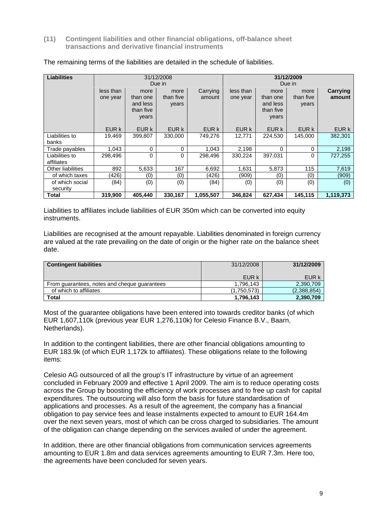**(11) Contingent liabilities and other financial obligations, off-balance sheet transactions and derivative financial instruments** 

| <b>Liabilities</b>           |                       | 31/12/2008<br>31/12/2009<br>Due in<br>Due in       |                            |                    |                       |                                                    |                            |                    |
|------------------------------|-----------------------|----------------------------------------------------|----------------------------|--------------------|-----------------------|----------------------------------------------------|----------------------------|--------------------|
|                              | less than<br>one year | more<br>than one<br>and less<br>than five<br>years | more<br>than five<br>years | Carrying<br>amount | less than<br>one year | more<br>than one<br>and less<br>than five<br>years | more<br>than five<br>years | Carrying<br>amount |
|                              | EUR k                 | EUR k                                              | EUR k                      | EUR k              | EUR k                 | EUR k                                              | EUR k                      | EUR k              |
| Liabilities to<br>banks      | 19,469                | 399.807                                            | 330,000                    | 749.276            | 12,771                | 224,530                                            | 145.000                    | 382,301            |
| Trade payables               | 1,043                 | 0                                                  | $\Omega$                   | 1,043              | 2,198                 | 0                                                  | 0                          | 2,198              |
| Liabilities to<br>affiliates | 298.496               | 0                                                  | 0                          | 298.496            | 330.224               | 397.031                                            | 0                          | 727,255            |
| <b>Other liabilities</b>     | 892                   | 5,633                                              | 167                        | 6,692              | 1,631                 | 5,873                                              | 115                        | 7,619              |
| of which taxes               | (426)                 | (0)                                                | (0)                        | (426)              | (909)                 | (0)                                                | (0)                        | (909)              |
| of which social<br>security  | (84)                  | (0)                                                | (0)                        | (84)               | (0)                   | (0)                                                | (0)                        | (0)                |
| Total                        | 319,900               | 405,440                                            | 330,167                    | 1,055,507          | 346,824               | 627,434                                            | 145,115                    | 1,119,373          |

#### The remaining terms of the liabilities are detailed in the schedule of liabilities.

Liabilities to affiliates include liabilities of EUR 350m which can be converted into equity instruments.

Liabilities are recognised at the amount repayable. Liabilities denominated in foreign currency are valued at the rate prevailing on the date of origin or the higher rate on the balance sheet date.

| <b>Contingent liabilities</b>                | 31/12/2008  | 31/12/2009  |
|----------------------------------------------|-------------|-------------|
|                                              | EUR k       | EUR k       |
| From guarantees, notes and cheque guarantees | 1.796.143   | 2,390,709   |
| of which to affiliates                       | (1.750.573) | (2,388,854) |
| <b>Total</b>                                 | 1,796,143   | 2,390,709   |

Most of the guarantee obligations have been entered into towards creditor banks (of which EUR 1,607,110k (previous year EUR 1,276,110k) for Celesio Finance B.V., Baarn, Netherlands).

In addition to the contingent liabilities, there are other financial obligations amounting to EUR 183.9k (of which EUR 1,172k to affiliates). These obligations relate to the following items:

Celesio AG outsourced of all the group's IT infrastructure by virtue of an agreement concluded in February 2009 and effective 1 April 2009. The aim is to reduce operating costs across the Group by boosting the efficiency of work processes and to free up cash for capital expenditures. The outsourcing will also form the basis for future standardisation of applications and processes. As a result of the agreement, the company has a financial obligation to pay service fees and lease instalments expected to amount to EUR 164.4m over the next seven years, most of which can be cross charged to subsidiaries. The amount of the obligation can change depending on the services availed of under the agreement.

In addition, there are other financial obligations from communication services agreements amounting to EUR 1.8m and data services agreements amounting to EUR 7.3m. Here too, the agreements have been concluded for seven years.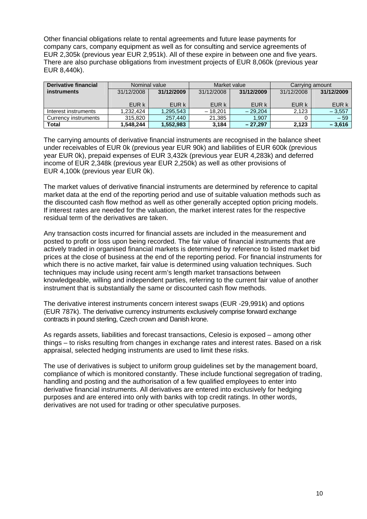Other financial obligations relate to rental agreements and future lease payments for company cars, company equipment as well as for consulting and service agreements of EUR 2,305k (previous year EUR 2,951k). All of these expire in between one and five years. There are also purchase obligations from investment projects of EUR 8,060k (previous year EUR 8,440k).

| Derivative financial |            | Market value<br>Nominal value<br>Carrying amount |            |            |       |            |
|----------------------|------------|--------------------------------------------------|------------|------------|-------|------------|
| <b>instruments</b>   | 31/12/2008 | 31/12/2009                                       | 31/12/2008 | 31/12/2009 |       | 31/12/2009 |
|                      |            |                                                  |            |            |       |            |
|                      | EUR k      | EUR k                                            | EUR k      | EUR k      | EUR k | EUR k      |
| Interest instruments | 1.232.424  | 1,295,543                                        | $-18.201$  | $-29.204$  | 2.123 | $-3,557$   |
| Currency instruments | 315,820    | 257.440                                          | 21.385     | 1.907      |       | $-59$      |
| Total                | 1,548,244  | 1,552,983                                        | 3,184      | $-27.297$  | 2,123 | $-3,616$   |

The carrying amounts of derivative financial instruments are recognised in the balance sheet under receivables of EUR 0k (previous year EUR 90k) and liabilities of EUR 600k (previous year EUR 0k), prepaid expenses of EUR 3,432k (previous year EUR 4,283k) and deferred income of EUR 2,348k (previous year EUR 2,250k) as well as other provisions of EUR 4,100k (previous year EUR 0k).

The market values of derivative financial instruments are determined by reference to capital market data at the end of the reporting period and use of suitable valuation methods such as the discounted cash flow method as well as other generally accepted option pricing models. If interest rates are needed for the valuation, the market interest rates for the respective residual term of the derivatives are taken.

Any transaction costs incurred for financial assets are included in the measurement and posted to profit or loss upon being recorded. The fair value of financial instruments that are actively traded in organised financial markets is determined by reference to listed market bid prices at the close of business at the end of the reporting period. For financial instruments for which there is no active market, fair value is determined using valuation techniques. Such techniques may include using recent arm's length market transactions between knowledgeable, willing and independent parties, referring to the current fair value of another instrument that is substantially the same or discounted cash flow methods.

The derivative interest instruments concern interest swaps (EUR -29,991k) and options (EUR 787k). The derivative currency instruments exclusively comprise forward exchange contracts in pound sterling, Czech crown and Danish krone.

As regards assets, liabilities and forecast transactions, Celesio is exposed – among other things – to risks resulting from changes in exchange rates and interest rates. Based on a risk appraisal, selected hedging instruments are used to limit these risks.

The use of derivatives is subject to uniform group guidelines set by the management board, compliance of which is monitored constantly. These include functional segregation of trading, handling and posting and the authorisation of a few qualified employees to enter into derivative financial instruments. All derivatives are entered into exclusively for hedging purposes and are entered into only with banks with top credit ratings. In other words, derivatives are not used for trading or other speculative purposes.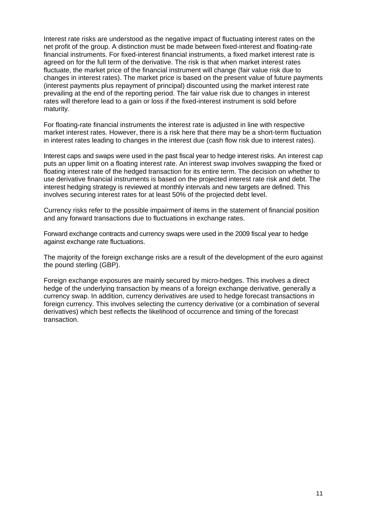Interest rate risks are understood as the negative impact of fluctuating interest rates on the net profit of the group. A distinction must be made between fixed-interest and floating-rate financial instruments. For fixed-interest financial instruments, a fixed market interest rate is agreed on for the full term of the derivative. The risk is that when market interest rates fluctuate, the market price of the financial instrument will change (fair value risk due to changes in interest rates). The market price is based on the present value of future payments (interest payments plus repayment of principal) discounted using the market interest rate prevailing at the end of the reporting period. The fair value risk due to changes in interest rates will therefore lead to a gain or loss if the fixed-interest instrument is sold before maturity.

For floating-rate financial instruments the interest rate is adjusted in line with respective market interest rates. However, there is a risk here that there may be a short-term fluctuation in interest rates leading to changes in the interest due (cash flow risk due to interest rates).

Interest caps and swaps were used in the past fiscal year to hedge interest risks. An interest cap puts an upper limit on a floating interest rate. An interest swap involves swapping the fixed or floating interest rate of the hedged transaction for its entire term. The decision on whether to use derivative financial instruments is based on the projected interest rate risk and debt. The interest hedging strategy is reviewed at monthly intervals and new targets are defined. This involves securing interest rates for at least 50% of the projected debt level.

Currency risks refer to the possible impairment of items in the statement of financial position and any forward transactions due to fluctuations in exchange rates.

Forward exchange contracts and currency swaps were used in the 2009 fiscal year to hedge against exchange rate fluctuations.

The majority of the foreign exchange risks are a result of the development of the euro against the pound sterling (GBP).

Foreign exchange exposures are mainly secured by micro-hedges. This involves a direct hedge of the underlying transaction by means of a foreign exchange derivative, generally a currency swap. In addition, currency derivatives are used to hedge forecast transactions in foreign currency. This involves selecting the currency derivative (or a combination of several derivatives) which best reflects the likelihood of occurrence and timing of the forecast transaction.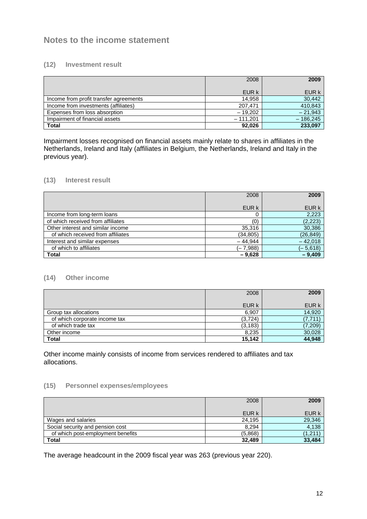## **Notes to the income statement**

#### **(12) Investment result**

|                                        | 2008       | 2009       |
|----------------------------------------|------------|------------|
|                                        | EUR k      | EUR k      |
| Income from profit transfer agreements | 14.958     | 30,442     |
| Income from investments (affiliates)   | 207.471    | 410,843    |
| Expenses from loss absorption          | $-19.202$  | $-21.943$  |
| Impairment of financial assets         | $-111.201$ | $-186,245$ |
| <b>Total</b>                           | 92.026     | 233,097    |

Impairment losses recognised on financial assets mainly relate to shares in affiliates in the Netherlands, Ireland and Italy (affiliates in Belgium, the Netherlands, Ireland and Italy in the previous year).

#### **(13) Interest result**

|                                   | 2008      | 2009       |
|-----------------------------------|-----------|------------|
|                                   | EUR k     | EUR k      |
| Income from long-term loans       |           | 2,223      |
| of which received from affiliates | (0)       | (2, 223)   |
| Other interest and similar income | 35,316    | 30,386     |
| of which received from affiliates | (34, 805) | (26, 849)  |
| Interest and similar expenses     | $-44.944$ | $-42.018$  |
| of which to affiliates            | (– 7.988) | $(-5,618)$ |
| <b>Total</b>                      | $-9,628$  | $-9,409$   |

#### **(14) Other income**

|                               | 2008     | 2009    |
|-------------------------------|----------|---------|
|                               | EUR k    | EUR k   |
| Group tax allocations         | 6,907    | 14,920  |
| of which corporate income tax | (3, 724) | 7.711   |
| of which trade tax            | (3, 183) | (7,209) |
| Other income                  | 8,235    | 30,028  |
| <b>Total</b>                  | 15.142   | 44,948  |

Other income mainly consists of income from services rendered to affiliates and tax allocations.

#### **(15) Personnel expenses/employees**

|                                   | 2008    | 2009              |
|-----------------------------------|---------|-------------------|
|                                   | EUR k   | EUR k             |
| Wages and salaries                | 24,195  | 29,346            |
| Social security and pension cost  | 8.294   | 4,138             |
| of which post-employment benefits | (5,868) | $^{\prime}$ 1.211 |
| Total                             | 32,489  | 33,484            |

The average headcount in the 2009 fiscal year was 263 (previous year 220).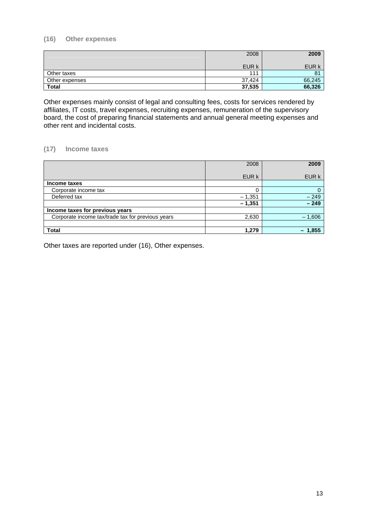#### **(16) Other expenses**

|                | 2008   | 2009           |
|----------------|--------|----------------|
|                | EUR k  | EUR k          |
| Other taxes    | 111    | 8 <sup>1</sup> |
| Other expenses | 37,424 | 66,245         |
| <b>Total</b>   | 37,535 | 66,326         |

Other expenses mainly consist of legal and consulting fees, costs for services rendered by affiliates, IT costs, travel expenses, recruiting expenses, remuneration of the supervisory board, the cost of preparing financial statements and annual general meeting expenses and other rent and incidental costs.

#### **(17) Income taxes**

|                                                   | 2008     | 2009     |
|---------------------------------------------------|----------|----------|
|                                                   | EUR k    | EUR k    |
| Income taxes                                      |          |          |
| Corporate income tax                              |          | 0        |
| Deferred tax                                      | $-1,351$ | $-249$   |
|                                                   | $-1,351$ | $-249$   |
| Income taxes for previous years                   |          |          |
| Corporate income tax/trade tax for previous years | 2,630    | $-1,606$ |
|                                                   |          |          |
| <b>Total</b>                                      | 1,279    | 1,855    |

Other taxes are reported under (16), Other expenses.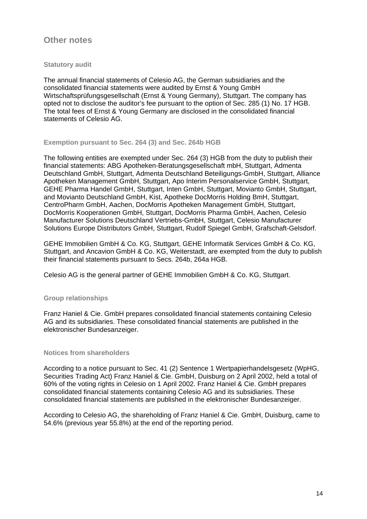### **Other notes**

#### **Statutory audit**

The annual financial statements of Celesio AG, the German subsidiaries and the consolidated financial statements were audited by Ernst & Young GmbH Wirtschaftsprüfungsgesellschaft (Ernst & Young Germany), Stuttgart. The company has opted not to disclose the auditor's fee pursuant to the option of Sec. 285 (1) No. 17 HGB. The total fees of Ernst & Young Germany are disclosed in the consolidated financial statements of Celesio AG.

#### **Exemption pursuant to Sec. 264 (3) and Sec. 264b HGB**

The following entities are exempted under Sec. 264 (3) HGB from the duty to publish their financial statements: ABG Apotheken-Beratungsgesellschaft mbH, Stuttgart, Admenta Deutschland GmbH, Stuttgart, Admenta Deutschland Beteiligungs-GmbH, Stuttgart, Alliance Apotheken Management GmbH, Stuttgart, Apo Interim Personalservice GmbH, Stuttgart, GEHE Pharma Handel GmbH, Stuttgart, Inten GmbH, Stuttgart, Movianto GmbH, Stuttgart, and Movianto Deutschland GmbH, Kist, Apotheke DocMorris Holding BmH, Stuttgart, CentroPharm GmbH, Aachen, DocMorris Apotheken Management GmbH, Stuttgart, DocMorris Kooperationen GmbH, Stuttgart, DocMorris Pharma GmbH, Aachen, Celesio Manufacturer Solutions Deutschland Vertriebs-GmbH, Stuttgart, Celesio Manufacturer Solutions Europe Distributors GmbH, Stuttgart, Rudolf Spiegel GmbH, Grafschaft-Gelsdorf.

GEHE Immobilien GmbH & Co. KG, Stuttgart, GEHE Informatik Services GmbH & Co. KG, Stuttgart, and Ancavion GmbH & Co. KG, Weiterstadt, are exempted from the duty to publish their financial statements pursuant to Secs. 264b, 264a HGB.

Celesio AG is the general partner of GEHE Immobilien GmbH & Co. KG, Stuttgart.

#### **Group relationships**

Franz Haniel & Cie. GmbH prepares consolidated financial statements containing Celesio AG and its subsidiaries. These consolidated financial statements are published in the elektronischer Bundesanzeiger.

#### **Notices from shareholders**

According to a notice pursuant to Sec. 41 (2) Sentence 1 Wertpapierhandelsgesetz (WpHG, Securities Trading Act) Franz Haniel & Cie. GmbH, Duisburg on 2 April 2002, held a total of 60% of the voting rights in Celesio on 1 April 2002. Franz Haniel & Cie. GmbH prepares consolidated financial statements containing Celesio AG and its subsidiaries. These consolidated financial statements are published in the elektronischer Bundesanzeiger.

According to Celesio AG, the shareholding of Franz Haniel & Cie. GmbH, Duisburg, came to 54.6% (previous year 55.8%) at the end of the reporting period.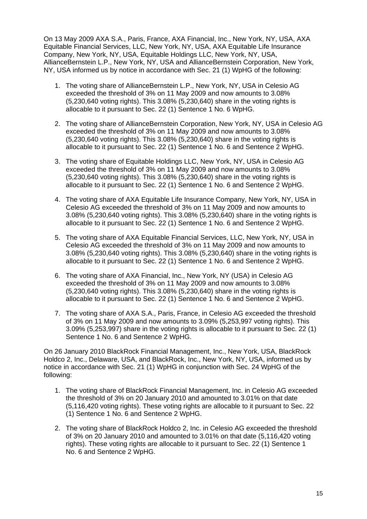On 13 May 2009 AXA S.A., Paris, France, AXA Financial, Inc., New York, NY, USA, AXA Equitable Financial Services, LLC, New York, NY, USA, AXA Equitable Life Insurance Company, New York, NY, USA, Equitable Holdings LLC, New York, NY, USA, AllianceBernstein L.P., New York, NY, USA and AllianceBernstein Corporation, New York, NY, USA informed us by notice in accordance with Sec. 21 (1) WpHG of the following:

- 1. The voting share of AllianceBernstein L.P., New York, NY, USA in Celesio AG exceeded the threshold of 3% on 11 May 2009 and now amounts to 3.08% (5,230,640 voting rights). This 3.08% (5,230,640) share in the voting rights is allocable to it pursuant to Sec. 22 (1) Sentence 1 No. 6 WpHG.
- 2. The voting share of AllianceBernstein Corporation, New York, NY, USA in Celesio AG exceeded the threshold of 3% on 11 May 2009 and now amounts to 3.08% (5,230,640 voting rights). This 3.08% (5,230,640) share in the voting rights is allocable to it pursuant to Sec. 22 (1) Sentence 1 No. 6 and Sentence 2 WpHG.
- 3. The voting share of Equitable Holdings LLC, New York, NY, USA in Celesio AG exceeded the threshold of 3% on 11 May 2009 and now amounts to 3.08% (5,230,640 voting rights). This 3.08% (5,230,640) share in the voting rights is allocable to it pursuant to Sec. 22 (1) Sentence 1 No. 6 and Sentence 2 WpHG.
- 4. The voting share of AXA Equitable Life Insurance Company, New York, NY, USA in Celesio AG exceeded the threshold of 3% on 11 May 2009 and now amounts to 3.08% (5,230,640 voting rights). This 3.08% (5,230,640) share in the voting rights is allocable to it pursuant to Sec. 22 (1) Sentence 1 No. 6 and Sentence 2 WpHG.
- 5. The voting share of AXA Equitable Financial Services, LLC, New York, NY, USA in Celesio AG exceeded the threshold of 3% on 11 May 2009 and now amounts to 3.08% (5,230,640 voting rights). This 3.08% (5,230,640) share in the voting rights is allocable to it pursuant to Sec. 22 (1) Sentence 1 No. 6 and Sentence 2 WpHG.
- 6. The voting share of AXA Financial, Inc., New York, NY (USA) in Celesio AG exceeded the threshold of 3% on 11 May 2009 and now amounts to 3.08% (5,230,640 voting rights). This 3.08% (5,230,640) share in the voting rights is allocable to it pursuant to Sec. 22 (1) Sentence 1 No. 6 and Sentence 2 WpHG.
- 7. The voting share of AXA S.A., Paris, France, in Celesio AG exceeded the threshold of 3% on 11 May 2009 and now amounts to 3.09% (5,253,997 voting rights). This 3.09% (5,253,997) share in the voting rights is allocable to it pursuant to Sec. 22 (1) Sentence 1 No. 6 and Sentence 2 WpHG.

On 26 January 2010 BlackRock Financial Management, Inc., New York, USA, BlackRock Holdco 2, Inc., Delaware, USA, and BlackRock, Inc., New York, NY, USA, informed us by notice in accordance with Sec. 21 (1) WpHG in conjunction with Sec. 24 WpHG of the following:

- 1. The voting share of BlackRock Financial Management, Inc. in Celesio AG exceeded the threshold of 3% on 20 January 2010 and amounted to 3.01% on that date (5,116,420 voting rights). These voting rights are allocable to it pursuant to Sec. 22 (1) Sentence 1 No. 6 and Sentence 2 WpHG.
- 2. The voting share of BlackRock Holdco 2, Inc. in Celesio AG exceeded the threshold of 3% on 20 January 2010 and amounted to 3.01% on that date (5,116,420 voting rights). These voting rights are allocable to it pursuant to Sec. 22 (1) Sentence 1 No. 6 and Sentence 2 WpHG.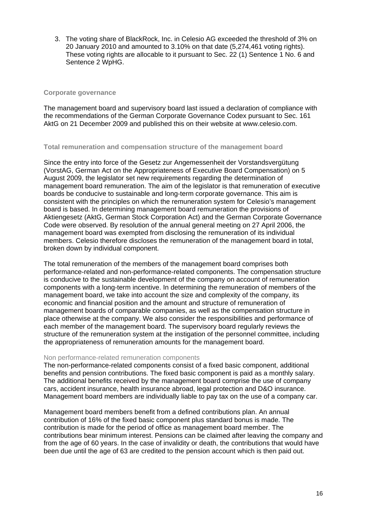3. The voting share of BlackRock, Inc. in Celesio AG exceeded the threshold of 3% on 20 January 2010 and amounted to 3.10% on that date (5,274,461 voting rights). These voting rights are allocable to it pursuant to Sec. 22 (1) Sentence 1 No. 6 and Sentence 2 WpHG.

#### **Corporate governance**

The management board and supervisory board last issued a declaration of compliance with the recommendations of the German Corporate Governance Codex pursuant to Sec. 161 AktG on 21 December 2009 and published this on their website at www.celesio.com.

#### **Total remuneration and compensation structure of the management board**

Since the entry into force of the Gesetz zur Angemessenheit der Vorstandsvergütung (VorstAG, German Act on the Appropriateness of Executive Board Compensation) on 5 August 2009, the legislator set new requirements regarding the determination of management board remuneration. The aim of the legislator is that remuneration of executive boards be conducive to sustainable and long-term corporate governance. This aim is consistent with the principles on which the remuneration system for Celesio's management board is based. In determining management board remuneration the provisions of Aktiengesetz (AktG, German Stock Corporation Act) and the German Corporate Governance Code were observed. By resolution of the annual general meeting on 27 April 2006, the management board was exempted from disclosing the remuneration of its individual members. Celesio therefore discloses the remuneration of the management board in total, broken down by individual component.

The total remuneration of the members of the management board comprises both performance-related and non-performance-related components. The compensation structure is conducive to the sustainable development of the company on account of remuneration components with a long-term incentive. In determining the remuneration of members of the management board, we take into account the size and complexity of the company, its economic and financial position and the amount and structure of remuneration of management boards of comparable companies, as well as the compensation structure in place otherwise at the company. We also consider the responsibilities and performance of each member of the management board. The supervisory board regularly reviews the structure of the remuneration system at the instigation of the personnel committee, including the appropriateness of remuneration amounts for the management board.

#### Non performance-related remuneration components

The non-performance-related components consist of a fixed basic component, additional benefits and pension contributions. The fixed basic component is paid as a monthly salary. The additional benefits received by the management board comprise the use of company cars, accident insurance, health insurance abroad, legal protection and D&O insurance. Management board members are individually liable to pay tax on the use of a company car.

Management board members benefit from a defined contributions plan. An annual contribution of 16% of the fixed basic component plus standard bonus is made. The contribution is made for the period of office as management board member. The contributions bear minimum interest. Pensions can be claimed after leaving the company and from the age of 60 years. In the case of invalidity or death, the contributions that would have been due until the age of 63 are credited to the pension account which is then paid out.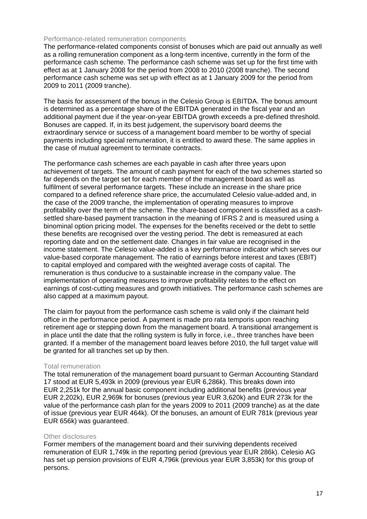#### Performance-related remuneration components

The performance-related components consist of bonuses which are paid out annually as well as a rolling remuneration component as a long-term incentive, currently in the form of the performance cash scheme. The performance cash scheme was set up for the first time with effect as at 1 January 2008 for the period from 2008 to 2010 (2008 tranche). The second performance cash scheme was set up with effect as at 1 January 2009 for the period from 2009 to 2011 (2009 tranche).

The basis for assessment of the bonus in the Celesio Group is EBITDA. The bonus amount is determined as a percentage share of the EBITDA generated in the fiscal year and an additional payment due if the year-on-year EBITDA growth exceeds a pre-defined threshold. Bonuses are capped. If, in its best judgement, the supervisory board deems the extraordinary service or success of a management board member to be worthy of special payments including special remuneration, it is entitled to award these. The same applies in the case of mutual agreement to terminate contracts.

The performance cash schemes are each payable in cash after three years upon achievement of targets. The amount of cash payment for each of the two schemes started so far depends on the target set for each member of the management board as well as fulfilment of several performance targets. These include an increase in the share price compared to a defined reference share price, the accumulated Celesio value-added and, in the case of the 2009 tranche, the implementation of operating measures to improve profitability over the term of the scheme. The share-based component is classified as a cashsettled share-based payment transaction in the meaning of IFRS 2 and is measured using a binominal option pricing model. The expenses for the benefits received or the debt to settle these benefits are recognised over the vesting period. The debt is remeasured at each reporting date and on the settlement date. Changes in fair value are recognised in the income statement. The Celesio value-added is a key performance indicator which serves our value-based corporate management. The ratio of earnings before interest and taxes (EBIT) to capital employed and compared with the weighted average costs of capital. The remuneration is thus conducive to a sustainable increase in the company value. The implementation of operating measures to improve profitability relates to the effect on earnings of cost-cutting measures and growth initiatives. The performance cash schemes are also capped at a maximum payout.

The claim for payout from the performance cash scheme is valid only if the claimant held office in the performance period. A payment is made pro rata temporis upon reaching retirement age or stepping down from the management board. A transitional arrangement is in place until the date that the rolling system is fully in force, i.e., three tranches have been granted. If a member of the management board leaves before 2010, the full target value will be granted for all tranches set up by then.

#### Total remuneration

The total remuneration of the management board pursuant to German Accounting Standard 17 stood at EUR 5,493k in 2009 (previous year EUR 6,286k). This breaks down into EUR 2,251k for the annual basic component including additional benefits (previous year EUR 2,202k), EUR 2,969k for bonuses (previous year EUR 3,620k) and EUR 273k for the value of the performance cash plan for the years 2009 to 2011 (2009 tranche) as at the date of issue (previous year EUR 464k). Of the bonuses, an amount of EUR 781k (previous year EUR 656k) was guaranteed.

#### Other disclosures

Former members of the management board and their surviving dependents received remuneration of EUR 1,749k in the reporting period (previous year EUR 286k). Celesio AG has set up pension provisions of EUR 4,796k (previous year EUR 3,853k) for this group of persons.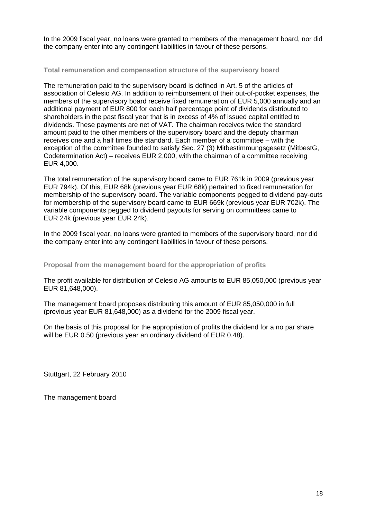In the 2009 fiscal year, no loans were granted to members of the management board, nor did the company enter into any contingent liabilities in favour of these persons.

#### **Total remuneration and compensation structure of the supervisory board**

The remuneration paid to the supervisory board is defined in Art. 5 of the articles of association of Celesio AG. In addition to reimbursement of their out-of-pocket expenses, the members of the supervisory board receive fixed remuneration of EUR 5,000 annually and an additional payment of EUR 800 for each half percentage point of dividends distributed to shareholders in the past fiscal year that is in excess of 4% of issued capital entitled to dividends. These payments are net of VAT. The chairman receives twice the standard amount paid to the other members of the supervisory board and the deputy chairman receives one and a half times the standard. Each member of a committee – with the exception of the committee founded to satisfy Sec. 27 (3) Mitbestimmungsgesetz (MitbestG, Codetermination Act) – receives EUR 2,000, with the chairman of a committee receiving EUR 4,000.

The total remuneration of the supervisory board came to EUR 761k in 2009 (previous year EUR 794k). Of this, EUR 68k (previous year EUR 68k) pertained to fixed remuneration for membership of the supervisory board. The variable components pegged to dividend pay-outs for membership of the supervisory board came to EUR 669k (previous year EUR 702k). The variable components pegged to dividend payouts for serving on committees came to EUR 24k (previous year EUR 24k).

In the 2009 fiscal year, no loans were granted to members of the supervisory board, nor did the company enter into any contingent liabilities in favour of these persons.

**Proposal from the management board for the appropriation of profits** 

The profit available for distribution of Celesio AG amounts to EUR 85,050,000 (previous year EUR 81,648,000).

The management board proposes distributing this amount of EUR 85,050,000 in full (previous year EUR 81,648,000) as a dividend for the 2009 fiscal year.

On the basis of this proposal for the appropriation of profits the dividend for a no par share will be EUR 0.50 (previous year an ordinary dividend of EUR 0.48).

Stuttgart, 22 February 2010

The management board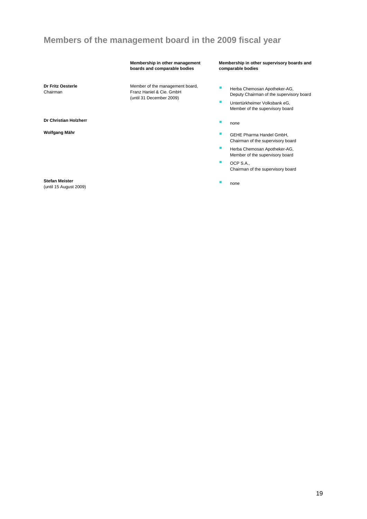# **Members of the management board in the 2009 fiscal year**

#### **Membership in other management boards and comparable bodies**

Member of the management board, Franz Haniel & Cie. GmbH (until 31 December 2009)

**Membership in other supervisory boards and comparable bodies** 

- **Herba Chemosan Apotheker-AG,** Deputy Chairman of the supervisory board
- **Untertürkheimer Volksbank eG,** Member of the supervisory board
- 
- **Wolfgang Mähr**  GEHE Pharma Handel GmbH, Chairman of the supervisory board
	- **Herba Chemosan Apotheker-AG,** Member of the supervisory board
	- OCP S.A., Chairman of the supervisory board
	-

**Dr Fritz Oesterle**  Chairman

**Dr Christian Holzherr <b>Christian** Holzherr **1999 none** 

**Stefan Meister** 

Steran Meister **nombor 2009)** none extending the step of the step of the step of the step of the step of the step of the step of the step of the step of the step of the step of the step of the step of the step of the step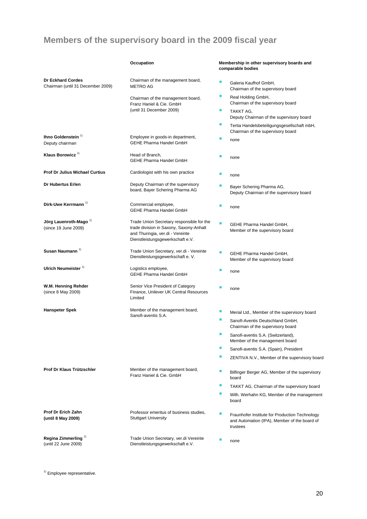# **Members of the supervisory board in the 2009 fiscal year**

|                                                               | Occupation                                                                                                                                                   |   | Membership in other supervisory boards and<br>comparable bodies                                            |
|---------------------------------------------------------------|--------------------------------------------------------------------------------------------------------------------------------------------------------------|---|------------------------------------------------------------------------------------------------------------|
| <b>Dr Eckhard Cordes</b><br>Chairman (until 31 December 2009) | Chairman of the management board,<br><b>METRO AG</b>                                                                                                         | ш | Galeria Kaufhof GmbH,<br>Chairman of the supervisory board                                                 |
|                                                               | Chairman of the management board,<br>Franz Haniel & Cie. GmbH                                                                                                | ш | Real Holding GmbH,<br>Chairman of the supervisory board                                                    |
|                                                               | (until 31 December 2009)                                                                                                                                     | п | TAKKT AG,<br>Deputy Chairman of the supervisory board                                                      |
|                                                               |                                                                                                                                                              | ш | Tertia Handelsbeteiligungsgesellschaft mbH,<br>Chairman of the supervisory board                           |
| Ihno Goldenstein 1)<br>Deputy chairman                        | Employee in goods-in department,<br><b>GEHE Pharma Handel GmbH</b>                                                                                           | ш | none                                                                                                       |
| Klaus Borowicz <sup>1)</sup>                                  | Head of Branch,<br><b>GEHE Pharma Handel GmbH</b>                                                                                                            |   | none                                                                                                       |
| <b>Prof Dr Julius Michael Curtius</b>                         | Cardiologist with his own practice                                                                                                                           | ٠ | none                                                                                                       |
| Dr Hubertus Erlen                                             | Deputy Chairman of the supervisory<br>board, Bayer Schering Pharma AG                                                                                        | п | Bayer Schering Pharma AG,<br>Deputy Chairman of the supervisory board                                      |
| Dirk-Uwe Kerrmann <sup>1)</sup>                               | Commercial employee,<br>GEHE Pharma Handel GmbH                                                                                                              | ш | none                                                                                                       |
| Jörg Lauenroth-Mago 1)<br>(since 19 June 2009)                | Trade Union Secretary responsible for the<br>trade division in Saxony, Saxony-Anhalt<br>and Thuringia, ver.di - Vereinte<br>Dienstleistungsgewerkschaft e.V. | п | GEHE Pharma Handel GmbH,<br>Member of the supervisory board                                                |
| Susan Naumann <sup>1)</sup>                                   | Trade Union Secretary, ver.di - Vereinte<br>Dienstleistungsgewerkschaft e. V.                                                                                | ٠ | GEHE Pharma Handel GmbH,<br>Member of the supervisory board                                                |
| Ulrich Neumeister <sup>1)</sup>                               | Logistics employee,<br><b>GEHE Pharma Handel GmbH</b>                                                                                                        | ш | none                                                                                                       |
| W.M. Henning Rehder<br>(since 8 May 2009)                     | Senior Vice President of Category<br>Finance, Unilever UK Central Resources<br>Limited                                                                       |   | none                                                                                                       |
| <b>Hanspeter Spek</b>                                         | Member of the management board,<br>Sanofi-aventis S.A.                                                                                                       | ш | Merial Ltd., Member of the supervisory board                                                               |
|                                                               |                                                                                                                                                              | ш | Sanofi-Aventis Deutschland GmbH,<br>Chairman of the supervisory board                                      |
|                                                               |                                                                                                                                                              | ■ | Sanofi-aventis S.A. (Switzerland),<br>Member of the management board                                       |
|                                                               |                                                                                                                                                              | п | Sanofi-aventis S.A. (Spain), President                                                                     |
|                                                               |                                                                                                                                                              | п | ZENTIVA N.V., Member of the supervisory board                                                              |
| Prof Dr Klaus Trützschler                                     | Member of the management board,<br>Franz Haniel & Cie. GmbH                                                                                                  | ш | Bilfinger Berger AG, Member of the supervisory<br>board                                                    |
|                                                               |                                                                                                                                                              | ш | TAKKT AG, Chairman of the supervisory board                                                                |
|                                                               |                                                                                                                                                              | ш | Wilh. Werhahn KG, Member of the management<br>board                                                        |
| Prof Dr Erich Zahn<br>(until 8 May 2009)                      | Professor emeritus of business studies,<br><b>Stuttgart University</b>                                                                                       | ш | Fraunhofer Institute for Production Technology<br>and Automation (IPA), Member of the board of<br>trustees |
| Regina Zimmerling <sup>1)</sup><br>(until 22 June 2009)       | Trade Union Secretary, ver.di Vereinte<br>Dienstleistungsgewerkschaft e.V.                                                                                   | ш | none                                                                                                       |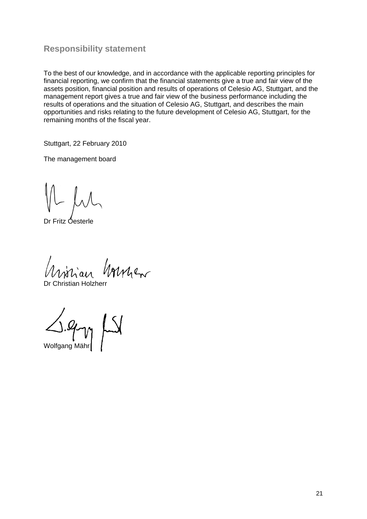### **Responsibility statement**

To the best of our knowledge, and in accordance with the applicable reporting principles for financial reporting, we confirm that the financial statements give a true and fair view of the assets position, financial position and results of operations of Celesio AG, Stuttgart, and the management report gives a true and fair view of the business performance including the results of operations and the situation of Celesio AG, Stuttgart, and describes the main opportunities and risks relating to the future development of Celesio AG, Stuttgart, for the remaining months of the fiscal year.

Stuttgart, 22 February 2010

The management board

Dr Fritz Oesterle

virian hommen

Dr Christian Holzherr

Wolfgang Mähr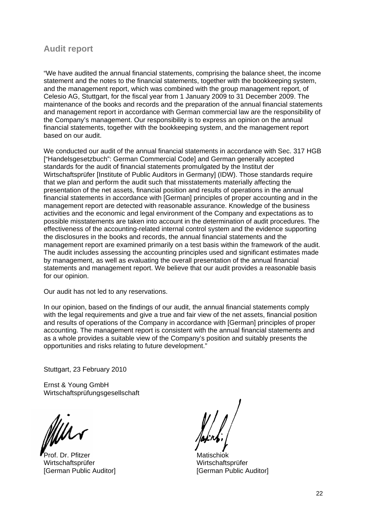### **Audit report**

"We have audited the annual financial statements, comprising the balance sheet, the income statement and the notes to the financial statements, together with the bookkeeping system, and the management report, which was combined with the group management report, of Celesio AG, Stuttgart, for the fiscal year from 1 January 2009 to 31 December 2009. The maintenance of the books and records and the preparation of the annual financial statements and management report in accordance with German commercial law are the responsibility of the Company's management. Our responsibility is to express an opinion on the annual financial statements, together with the bookkeeping system, and the management report based on our audit.

We conducted our audit of the annual financial statements in accordance with Sec. 317 HGB ["Handelsgesetzbuch": German Commercial Code] and German generally accepted standards for the audit of financial statements promulgated by the Institut der Wirtschaftsprüfer [Institute of Public Auditors in Germany] (IDW). Those standards require that we plan and perform the audit such that misstatements materially affecting the presentation of the net assets, financial position and results of operations in the annual financial statements in accordance with [German] principles of proper accounting and in the management report are detected with reasonable assurance. Knowledge of the business activities and the economic and legal environment of the Company and expectations as to possible misstatements are taken into account in the determination of audit procedures. The effectiveness of the accounting-related internal control system and the evidence supporting the disclosures in the books and records, the annual financial statements and the management report are examined primarily on a test basis within the framework of the audit. The audit includes assessing the accounting principles used and significant estimates made by management, as well as evaluating the overall presentation of the annual financial statements and management report. We believe that our audit provides a reasonable basis for our opinion.

Our audit has not led to any reservations.

In our opinion, based on the findings of our audit, the annual financial statements comply with the legal requirements and give a true and fair view of the net assets, financial position and results of operations of the Company in accordance with [German] principles of proper accounting. The management report is consistent with the annual financial statements and as a whole provides a suitable view of the Company's position and suitably presents the opportunities and risks relating to future development."

Stuttgart, 23 February 2010

Ernst & Young GmbH Wirtschaftsprüfungsgesellschaft

Milhr

Prof. Dr. Pfitzer Matischiok Wirtschaftsprüfer Wirtschaftsprüfer [German Public Auditor] [German Public Auditor]